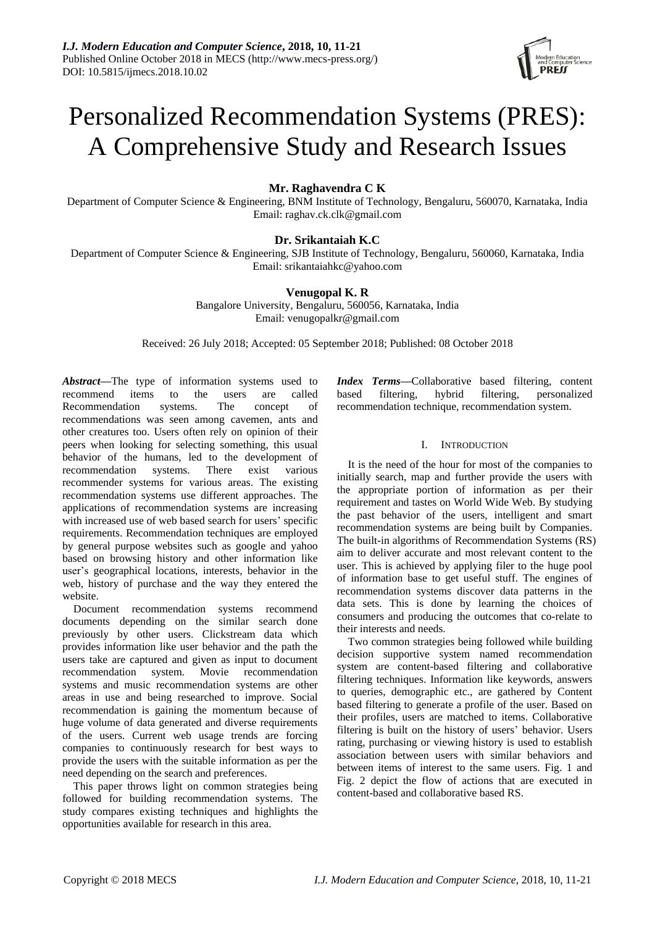

# Personalized Recommendation Systems (PRES): A Comprehensive Study and Research Issues

# **Mr. Raghavendra C K**

Department of Computer Science & Engineering, BNM Institute of Technology, Bengaluru, 560070, Karnataka, India Email: raghav.ck.clk@gmail.com

# **Dr. Srikantaiah K.C**

Department of Computer Science & Engineering, SJB Institute of Technology, Bengaluru, 560060, Karnataka, India Email: srikantaiahkc@yahoo.com

## **Venugopal K. R**

Bangalore University, Bengaluru, 560056, Karnataka, India Email: venugopalkr@gmail.com

Received: 26 July 2018; Accepted: 05 September 2018; Published: 08 October 2018

*Abstract—*The type of information systems used to recommend items to the users are called Recommendation systems. The concept of recommendations was seen among cavemen, ants and other creatures too. Users often rely on opinion of their peers when looking for selecting something, this usual behavior of the humans, led to the development of recommendation systems. There exist various recommender systems for various areas. The existing recommendation systems use different approaches. The applications of recommendation systems are increasing with increased use of web based search for users' specific requirements. Recommendation techniques are employed by general purpose websites such as google and yahoo based on browsing history and other information like user's geographical locations, interests, behavior in the web, history of purchase and the way they entered the website.

Document recommendation systems recommend documents depending on the similar search done previously by other users. Clickstream data which provides information like user behavior and the path the users take are captured and given as input to document recommendation system. Movie recommendation systems and music recommendation systems are other areas in use and being researched to improve. Social recommendation is gaining the momentum because of huge volume of data generated and diverse requirements of the users. Current web usage trends are forcing companies to continuously research for best ways to provide the users with the suitable information as per the need depending on the search and preferences.

This paper throws light on common strategies being followed for building recommendation systems. The study compares existing techniques and highlights the opportunities available for research in this area.

*Index Terms—*Collaborative based filtering, content based filtering, hybrid filtering, personalized recommendation technique, recommendation system.

### I. INTRODUCTION

It is the need of the hour for most of the companies to initially search, map and further provide the users with the appropriate portion of information as per their requirement and tastes on World Wide Web. By studying the past behavior of the users, intelligent and smart recommendation systems are being built by Companies. The built-in algorithms of Recommendation Systems (RS) aim to deliver accurate and most relevant content to the user. This is achieved by applying filer to the huge pool of information base to get useful stuff. The engines of recommendation systems discover data patterns in the data sets. This is done by learning the choices of consumers and producing the outcomes that co-relate to their interests and needs.

Two common strategies being followed while building decision supportive system named recommendation system are content-based filtering and collaborative filtering techniques. Information like keywords, answers to queries, demographic etc., are gathered by Content based filtering to generate a profile of the user. Based on their profiles, users are matched to items. Collaborative filtering is built on the history of users' behavior. Users rating, purchasing or viewing history is used to establish association between users with similar behaviors and between items of interest to the same users. Fig. 1 and Fig. 2 depict the flow of actions that are executed in content-based and collaborative based RS.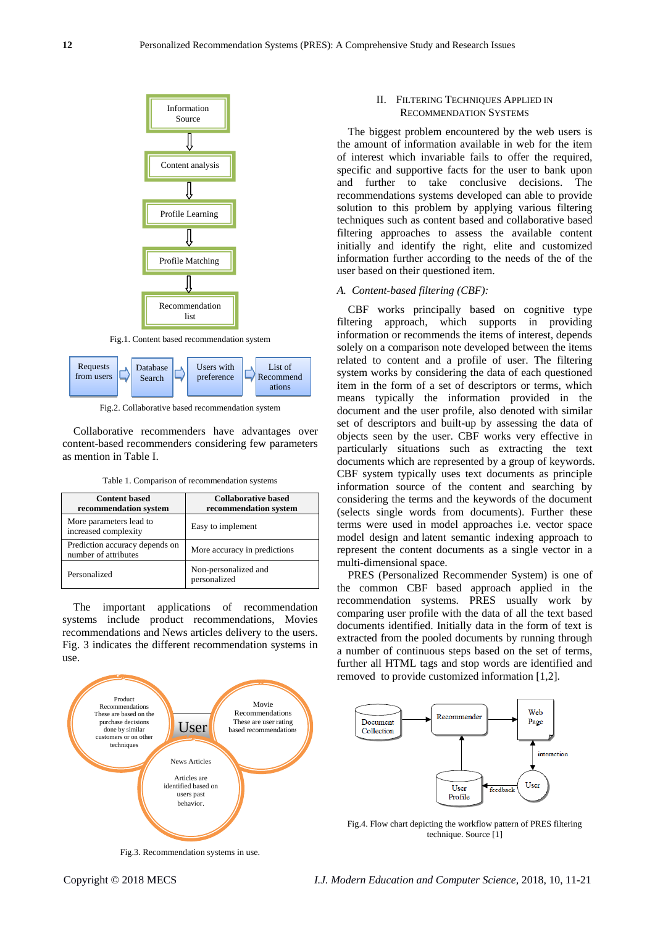

from users Search preference Recommend

ations

Fig.2. Collaborative based recommendation system

Collaborative recommenders have advantages over content-based recommenders considering few parameters as mention in Table I.

| Table 1. Comparison of recommendation systems |  |  |  |  |  |  |  |  |
|-----------------------------------------------|--|--|--|--|--|--|--|--|
|-----------------------------------------------|--|--|--|--|--|--|--|--|

| <b>Content based</b><br>recommendation system          | <b>Collaborative based</b><br>recommendation system |
|--------------------------------------------------------|-----------------------------------------------------|
| More parameters lead to<br>increased complexity        | Easy to implement                                   |
| Prediction accuracy depends on<br>number of attributes | More accuracy in predictions                        |
| Personalized                                           | Non-personalized and<br>personalized                |

The important applications of recommendation systems include product recommendations, Movies recommendations and News articles delivery to the users. Fig. 3 indicates the different recommendation systems in use.



Fig.3. Recommendation systems in use.

## II. FILTERING TECHNIQUES APPLIED IN RECOMMENDATION SYSTEMS

The biggest problem encountered by the web users is the amount of information available in web for the item of interest which invariable fails to offer the required, specific and supportive facts for the user to bank upon and further to take conclusive decisions. The recommendations systems developed can able to provide solution to this problem by applying various filtering techniques such as content based and collaborative based filtering approaches to assess the available content initially and identify the right, elite and customized information further according to the needs of the of the user based on their questioned item.

#### *A. Content-based filtering (CBF):*

CBF works principally based on cognitive type filtering approach, which supports in providing information or recommends the items of interest, depends solely on a comparison note developed between the items related to content and a profile of user. The filtering system works by considering the data of each questioned item in the form of a set of descriptors or terms, which means typically the information provided in the document and the user profile, also denoted with similar set of descriptors and built-up by assessing the data of objects seen by the user. CBF works very effective in particularly situations such as extracting the text documents which are represented by a group of keywords. CBF system typically uses text documents as principle information source of the content and searching by considering the terms and the keywords of the document (selects single words from documents). Further these terms were used in model approaches i.e. vector space model design and latent semantic indexing approach to represent the content documents as a single vector in a multi-dimensional space.

PRES (Personalized Recommender System) is one of the common CBF based approach applied in the recommendation systems. PRES usually work by comparing user profile with the data of all the text based documents identified. Initially data in the form of text is extracted from the pooled documents by running through a number of continuous steps based on the set of terms, further all HTML tags and stop words are identified and removed to provide customized information [1,2].



Fig.4. Flow chart depicting the workflow pattern of PRES filtering technique. Source [1]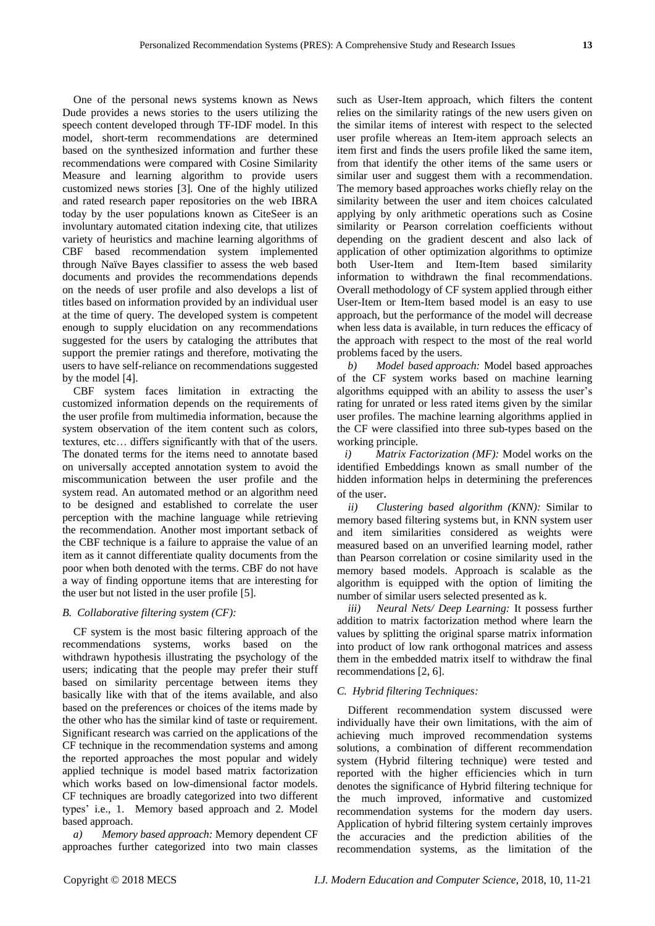One of the personal news systems known as News Dude provides a news stories to the users utilizing the speech content developed through TF-IDF model. In this model, short-term recommendations are determined based on the synthesized information and further these recommendations were compared with Cosine Similarity Measure and learning algorithm to provide users customized news stories [3]. One of the highly utilized and rated research paper repositories on the web IBRA today by the user populations known as CiteSeer is an involuntary automated citation indexing cite, that utilizes variety of heuristics and machine learning algorithms of CBF based recommendation system implemented through Naïve Bayes classifier to assess the web based documents and provides the recommendations depends on the needs of user profile and also develops a list of titles based on information provided by an individual user at the time of query. The developed system is competent enough to supply elucidation on any recommendations suggested for the users by cataloging the attributes that support the premier ratings and therefore, motivating the users to have self-reliance on recommendations suggested by the model [4].

CBF system faces limitation in extracting the customized information depends on the requirements of the user profile from multimedia information, because the system observation of the item content such as colors, textures, etc… differs significantly with that of the users. The donated terms for the items need to annotate based on universally accepted annotation system to avoid the miscommunication between the user profile and the system read. An automated method or an algorithm need to be designed and established to correlate the user perception with the machine language while retrieving the recommendation. Another most important setback of the CBF technique is a failure to appraise the value of an item as it cannot differentiate quality documents from the poor when both denoted with the terms. CBF do not have a way of finding opportune items that are interesting for the user but not listed in the user profile [5].

### *B. Collaborative filtering system (CF):*

CF system is the most basic filtering approach of the recommendations systems, works based on the withdrawn hypothesis illustrating the psychology of the users; indicating that the people may prefer their stuff based on similarity percentage between items they basically like with that of the items available, and also based on the preferences or choices of the items made by the other who has the similar kind of taste or requirement. Significant research was carried on the applications of the CF technique in the recommendation systems and among the reported approaches the most popular and widely applied technique is model based matrix factorization which works based on low-dimensional factor models. CF techniques are broadly categorized into two different types' i.e., 1. Memory based approach and 2. Model based approach.

*a) Memory based approach:* Memory dependent CF approaches further categorized into two main classes such as User-Item approach, which filters the content relies on the similarity ratings of the new users given on the similar items of interest with respect to the selected user profile whereas an Item-item approach selects an item first and finds the users profile liked the same item, from that identify the other items of the same users or similar user and suggest them with a recommendation. The memory based approaches works chiefly relay on the similarity between the user and item choices calculated applying by only arithmetic operations such as Cosine similarity or Pearson correlation coefficients without depending on the gradient descent and also lack of application of other optimization algorithms to optimize both User-Item and Item-Item based similarity information to withdrawn the final recommendations. Overall methodology of CF system applied through either User-Item or Item-Item based model is an easy to use approach, but the performance of the model will decrease when less data is available, in turn reduces the efficacy of the approach with respect to the most of the real world problems faced by the users.

*b) Model based approach:* Model based approaches of the CF system works based on machine learning algorithms equipped with an ability to assess the user's rating for unrated or less rated items given by the similar user profiles. The machine learning algorithms applied in the CF were classified into three sub-types based on the working principle.

*i) Matrix Factorization (MF):* Model works on the identified Embeddings known as small number of the hidden information helps in determining the preferences of the user.

*ii) Clustering based algorithm (KNN):* Similar to memory based filtering systems but, in KNN system user and item similarities considered as weights were measured based on an unverified learning model, rather than Pearson correlation or cosine similarity used in the memory based models. Approach is scalable as the algorithm is equipped with the option of limiting the number of similar users selected presented as k.

*iii) Neural Nets/ Deep Learning:* It possess further addition to matrix factorization method where learn the values by splitting the original sparse matrix information into product of low rank orthogonal matrices and assess them in the embedded matrix itself to withdraw the final recommendations [2, 6].

### *C. Hybrid filtering Techniques:*

Different recommendation system discussed were individually have their own limitations, with the aim of achieving much improved recommendation systems solutions, a combination of different recommendation system (Hybrid filtering technique) were tested and reported with the higher efficiencies which in turn denotes the significance of Hybrid filtering technique for the much improved, informative and customized recommendation systems for the modern day users. Application of hybrid filtering system certainly improves the accuracies and the prediction abilities of the recommendation systems, as the limitation of the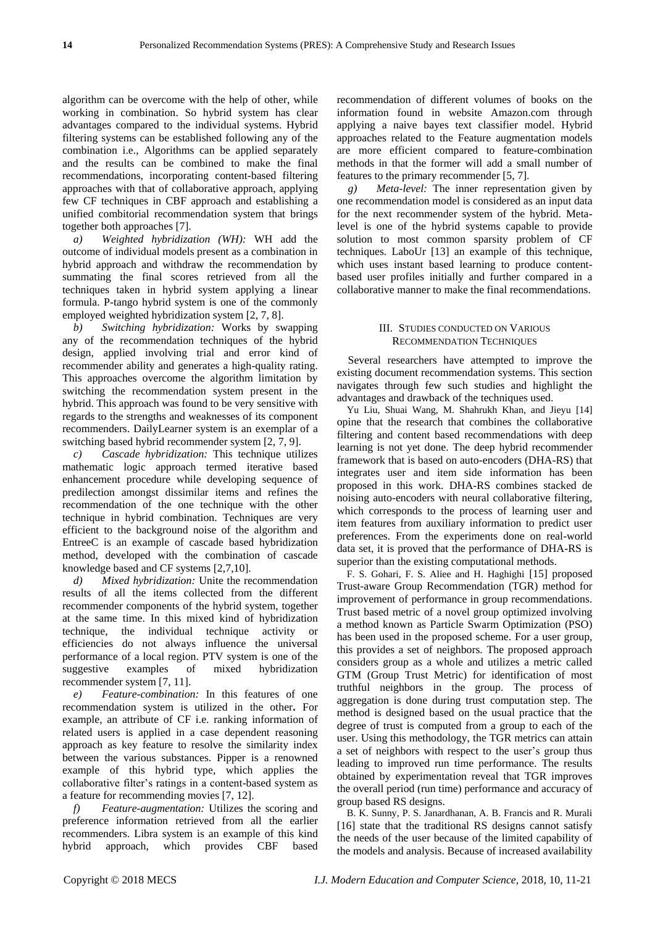algorithm can be overcome with the help of other, while working in combination. So hybrid system has clear advantages compared to the individual systems. Hybrid filtering systems can be established following any of the combination i.e., Algorithms can be applied separately and the results can be combined to make the final recommendations, incorporating content-based filtering approaches with that of collaborative approach, applying few CF techniques in CBF approach and establishing a unified combitorial recommendation system that brings together both approaches [7].

*a) Weighted hybridization (WH):* WH add the outcome of individual models present as a combination in hybrid approach and withdraw the recommendation by summating the final scores retrieved from all the techniques taken in hybrid system applying a linear formula. P-tango hybrid system is one of the commonly employed weighted hybridization system [2, 7, 8].

*b) Switching hybridization:* Works by swapping any of the recommendation techniques of the hybrid design, applied involving trial and error kind of recommender ability and generates a high-quality rating. This approaches overcome the algorithm limitation by switching the recommendation system present in the hybrid. This approach was found to be very sensitive with regards to the strengths and weaknesses of its component recommenders. DailyLearner system is an exemplar of a switching based hybrid recommender system [2, 7, 9].

*c) Cascade hybridization:* This technique utilizes mathematic logic approach termed iterative based enhancement procedure while developing sequence of predilection amongst dissimilar items and refines the recommendation of the one technique with the other technique in hybrid combination. Techniques are very efficient to the background noise of the algorithm and EntreeC is an example of cascade based hybridization method, developed with the combination of cascade knowledge based and CF systems [2,7,10].

*d) Mixed hybridization:* Unite the recommendation results of all the items collected from the different recommender components of the hybrid system, together at the same time. In this mixed kind of hybridization technique, the individual technique activity or efficiencies do not always influence the universal performance of a local region. PTV system is one of the suggestive examples of mixed hybridization recommender system [7, 11].

*e) Feature-combination:* In this features of one recommendation system is utilized in the other**.** For example, an attribute of CF i.e. ranking information of related users is applied in a case dependent reasoning approach as key feature to resolve the similarity index between the various substances. Pipper is a renowned example of this hybrid type, which applies the collaborative filter's ratings in a content-based system as a feature for recommending movies [7, 12].

*f) Feature-augmentation:* Utilizes the scoring and preference information retrieved from all the earlier recommenders. Libra system is an example of this kind hybrid approach, which provides CBF based recommendation of different volumes of books on the information found in website Amazon.com through applying a naive bayes text classifier model. Hybrid approaches related to the Feature augmentation models are more efficient compared to feature-combination methods in that the former will add a small number of features to the primary recommender [5, 7].

*g) Meta-level:* The inner representation given by one recommendation model is considered as an input data for the next recommender system of the hybrid. Metalevel is one of the hybrid systems capable to provide solution to most common sparsity problem of CF techniques. LaboUr [13] an example of this technique, which uses instant based learning to produce contentbased user profiles initially and further compared in a collaborative manner to make the final recommendations.

### III. STUDIES CONDUCTED ON VARIOUS RECOMMENDATION TECHNIQUES

Several researchers have attempted to improve the existing document recommendation systems. This section navigates through few such studies and highlight the advantages and drawback of the techniques used.

Yu Liu, Shuai Wang, M. Shahrukh Khan, and Jieyu [14] opine that the research that combines the collaborative filtering and content based recommendations with deep learning is not yet done. The deep hybrid recommender framework that is based on auto-encoders (DHA-RS) that integrates user and item side information has been proposed in this work. DHA-RS combines stacked de noising auto-encoders with neural collaborative filtering, which corresponds to the process of learning user and item features from auxiliary information to predict user preferences. From the experiments done on real-world data set, it is proved that the performance of DHA-RS is superior than the existing computational methods.

F. S. Gohari, F. S. Aliee and H. Haghighi [15] proposed Trust-aware Group Recommendation (TGR) method for improvement of performance in group recommendations. Trust based metric of a novel group optimized involving a method known as Particle Swarm Optimization (PSO) has been used in the proposed scheme. For a user group, this provides a set of neighbors. The proposed approach considers group as a whole and utilizes a metric called GTM (Group Trust Metric) for identification of most truthful neighbors in the group. The process of aggregation is done during trust computation step. The method is designed based on the usual practice that the degree of trust is computed from a group to each of the user. Using this methodology, the TGR metrics can attain a set of neighbors with respect to the user's group thus leading to improved run time performance. The results obtained by experimentation reveal that TGR improves the overall period (run time) performance and accuracy of group based RS designs.

B. K. Sunny, P. S. Janardhanan, A. B. Francis and R. Murali [16] state that the traditional RS designs cannot satisfy the needs of the user because of the limited capability of the models and analysis. Because of increased availability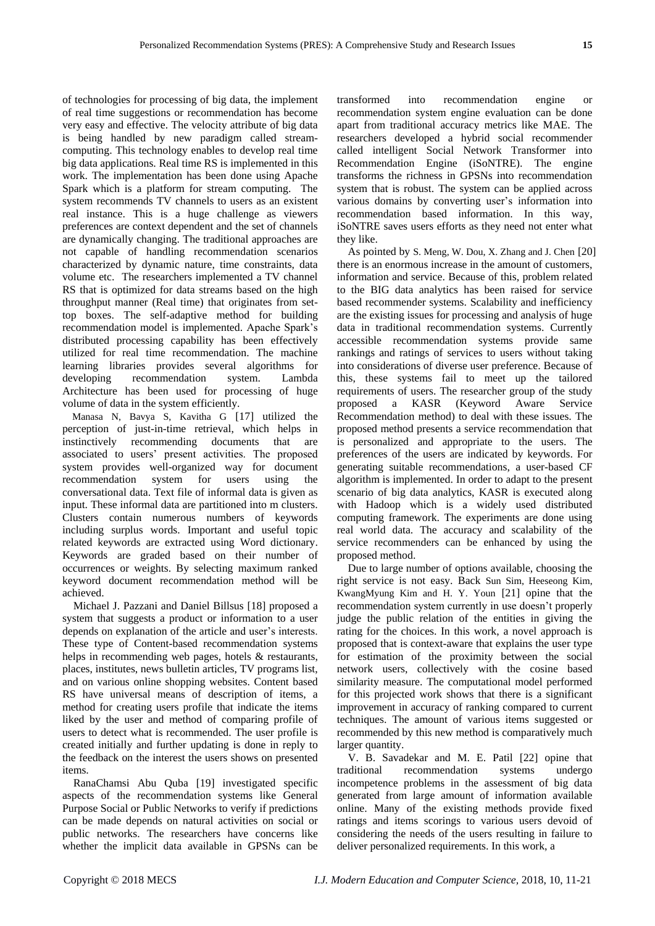of technologies for processing of big data, the implement of real time suggestions or recommendation has become very easy and effective. The velocity attribute of big data is being handled by new paradigm called streamcomputing. This technology enables to develop real time big data applications. Real time RS is implemented in this work. The implementation has been done using Apache Spark which is a platform for stream computing. The system recommends TV channels to users as an existent real instance. This is a huge challenge as viewers preferences are context dependent and the set of channels are dynamically changing. The traditional approaches are not capable of handling recommendation scenarios characterized by dynamic nature, time constraints, data volume etc. The researchers implemented a TV channel RS that is optimized for data streams based on the high throughput manner (Real time) that originates from settop boxes. The self-adaptive method for building recommendation model is implemented. Apache Spark's distributed processing capability has been effectively utilized for real time recommendation. The machine learning libraries provides several algorithms for developing recommendation system. Lambda Architecture has been used for processing of huge volume of data in the system efficiently.

Manasa N, Bavya S, Kavitha G [17] utilized the perception of just-in-time retrieval, which helps in instinctively recommending documents that are associated to users' present activities. The proposed system provides well-organized way for document recommendation system for users using the conversational data. Text file of informal data is given as input. These informal data are partitioned into m clusters. Clusters contain numerous numbers of keywords including surplus words. Important and useful topic related keywords are extracted using Word dictionary. Keywords are graded based on their number of occurrences or weights. By selecting maximum ranked keyword document recommendation method will be achieved.

Michael J. Pazzani and Daniel Billsus [18] proposed a system that suggests a product or information to a user depends on explanation of the article and user's interests. These type of Content-based recommendation systems helps in recommending web pages, hotels & restaurants, places, institutes, news bulletin articles, TV programs list, and on various online shopping websites. Content based RS have universal means of description of items, a method for creating users profile that indicate the items liked by the user and method of comparing profile of users to detect what is recommended. The user profile is created initially and further updating is done in reply to the feedback on the interest the users shows on presented items.

RanaChamsi Abu Quba [19] investigated specific aspects of the recommendation systems like General Purpose Social or Public Networks to verify if predictions can be made depends on natural activities on social or public networks. The researchers have concerns like whether the implicit data available in GPSNs can be

transformed into recommendation engine or recommendation system engine evaluation can be done apart from traditional accuracy metrics like MAE. The researchers developed a hybrid social recommender called intelligent Social Network Transformer into Recommendation Engine (iSoNTRE). The engine transforms the richness in GPSNs into recommendation system that is robust. The system can be applied across various domains by converting user's information into recommendation based information. In this way, iSoNTRE saves users efforts as they need not enter what they like.

As pointed by S. Meng, W. Dou, X. Zhang and J. Chen [20] there is an enormous increase in the amount of customers, information and service. Because of this, problem related to the BIG data analytics has been raised for service based recommender systems. Scalability and inefficiency are the existing issues for processing and analysis of huge data in traditional recommendation systems. Currently accessible recommendation systems provide same rankings and ratings of services to users without taking into considerations of diverse user preference. Because of this, these systems fail to meet up the tailored requirements of users. The researcher group of the study proposed a KASR (Keyword Aware Service Recommendation method) to deal with these issues. The proposed method presents a service recommendation that is personalized and appropriate to the users. The preferences of the users are indicated by keywords. For generating suitable recommendations, a user-based CF algorithm is implemented. In order to adapt to the present scenario of big data analytics, KASR is executed along with Hadoop which is a widely used distributed computing framework. The experiments are done using real world data. The accuracy and scalability of the service recommenders can be enhanced by using the proposed method.

Due to large number of options available, choosing the right service is not easy. Back Sun Sim, Heeseong Kim, KwangMyung Kim and H. Y. Youn [21] opine that the recommendation system currently in use doesn't properly judge the public relation of the entities in giving the rating for the choices. In this work, a novel approach is proposed that is context-aware that explains the user type for estimation of the proximity between the social network users, collectively with the cosine based similarity measure. The computational model performed for this projected work shows that there is a significant improvement in accuracy of ranking compared to current techniques. The amount of various items suggested or recommended by this new method is comparatively much larger quantity.

V. B. Savadekar and M. E. Patil [22] opine that traditional recommendation systems undergo incompetence problems in the assessment of big data generated from large amount of information available online. Many of the existing methods provide fixed ratings and items scorings to various users devoid of considering the needs of the users resulting in failure to deliver personalized requirements. In this work, a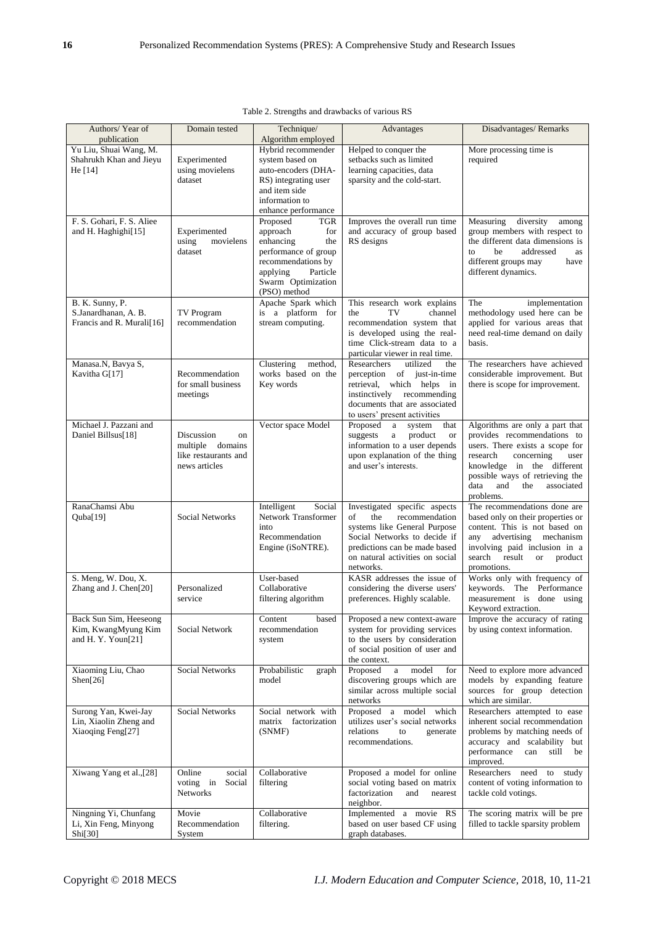| Authors/Year of<br>publication                                       | Domain tested                                                                 | Technique/<br>Algorithm employed                                                                                                                                          | Advantages                                                                                                                                                                                                    | Disadvantages/Remarks                                                                                                                                                                                                                                 |
|----------------------------------------------------------------------|-------------------------------------------------------------------------------|---------------------------------------------------------------------------------------------------------------------------------------------------------------------------|---------------------------------------------------------------------------------------------------------------------------------------------------------------------------------------------------------------|-------------------------------------------------------------------------------------------------------------------------------------------------------------------------------------------------------------------------------------------------------|
| Yu Liu, Shuai Wang, M.<br>Shahrukh Khan and Jieyu<br>He [14]         | Experimented<br>using movielens<br>dataset                                    | Hybrid recommender<br>system based on<br>auto-encoders (DHA-<br>RS) integrating user<br>and item side<br>information to<br>enhance performance                            | Helped to conquer the<br>setbacks such as limited<br>learning capacities, data<br>sparsity and the cold-start.                                                                                                | More processing time is<br>required                                                                                                                                                                                                                   |
| F. S. Gohari, F. S. Aliee<br>and H. Haghighi[15]                     | Experimented<br>using<br>movielens<br>dataset                                 | Proposed<br><b>TGR</b><br>approach<br>for<br>enhancing<br>the<br>performance of group<br>recommendations by<br>Particle<br>applying<br>Swarm Optimization<br>(PSO) method | Improves the overall run time<br>and accuracy of group based<br>RS designs                                                                                                                                    | diversity<br>Measuring<br>among<br>group members with respect to<br>the different data dimensions is<br>addressed<br>be<br>to<br>as<br>different groups may<br>have<br>different dynamics.                                                            |
| B. K. Sunny, P.<br>S.Janardhanan, A. B.<br>Francis and R. Murali[16] | <b>TV</b> Program<br>recommendation                                           | Apache Spark which<br>is a platform for<br>stream computing.                                                                                                              | This research work explains<br>TV<br>channel<br>the<br>recommendation system that<br>is developed using the real-<br>time Click-stream data to a<br>particular viewer in real time.                           | The<br>implementation<br>methodology used here can be<br>applied for various areas that<br>need real-time demand on daily<br>basis.                                                                                                                   |
| Manasa.N, Bavya S,<br>Kavitha G[17]                                  | Recommendation<br>for small business<br>meetings                              | Clustering<br>method.<br>works based on the<br>Key words                                                                                                                  | Researchers<br>utilized<br>the<br>perception of just-in-time<br>retrieval, which helps in<br>instinctively recommending<br>documents that are associated<br>to users' present activities                      | The researchers have achieved<br>considerable improvement. But<br>there is scope for improvement.                                                                                                                                                     |
| Michael J. Pazzani and<br>Daniel Billsus[18]                         | Discussion<br>on<br>multiple domains<br>like restaurants and<br>news articles | Vector space Model                                                                                                                                                        | Proposed a<br>system<br>that<br>suggests<br>product<br>a<br><b>or</b><br>information to a user depends<br>upon explanation of the thing<br>and user's interests.                                              | Algorithms are only a part that<br>provides recommendations to<br>users. There exists a scope for<br>research<br>concerning<br>user<br>knowledge in the different<br>possible ways of retrieving the<br>data<br>and<br>the<br>associated<br>problems. |
| RanaChamsi Abu<br>Quba[19]                                           | <b>Social Networks</b>                                                        | Intelligent<br>Social<br>Network Transformer<br>into<br>Recommendation<br>Engine (iSoNTRE).                                                                               | Investigated specific aspects<br>the<br>recommendation<br>of<br>systems like General Purpose<br>Social Networks to decide if<br>predictions can be made based<br>on natural activities on social<br>networks. | The recommendations done are<br>based only on their properties or<br>content. This is not based on<br>any advertising mechanism<br>involving paid inclusion in a<br>search result or product<br>promotions.                                           |
| S. Meng, W. Dou, X.<br>Zhang and J. Chen <sup>[20]</sup>             | Personalized<br>service                                                       | User-based<br>Collaborative<br>filtering algorithm                                                                                                                        | KASR addresses the issue of<br>considering the diverse users'<br>preferences. Highly scalable.                                                                                                                | Works only with frequency of<br>keywords. The Performance<br>measurement is done using<br>Keyword extraction.                                                                                                                                         |
| Back Sun Sim, Heeseong<br>Kim, KwangMyung Kim<br>and H.Y.Youn[21]    | Social Network                                                                | Content<br>based<br>recommendation<br>system                                                                                                                              | Proposed a new context-aware<br>system for providing services<br>to the users by consideration<br>of social position of user and<br>the context.                                                              | Improve the accuracy of rating<br>by using context information.                                                                                                                                                                                       |
| Xiaoming Liu, Chao<br>Shen[26]                                       | Social Networks                                                               | Probabilistic<br>graph<br>model                                                                                                                                           | Proposed<br>model<br>$\rm{a}$<br>for<br>discovering groups which are<br>similar across multiple social<br>networks                                                                                            | Need to explore more advanced<br>models by expanding feature<br>sources for group detection<br>which are similar.                                                                                                                                     |
| Surong Yan, Kwei-Jay<br>Lin, Xiaolin Zheng and<br>Xiaoqing Feng[27]  | <b>Social Networks</b>                                                        | Social network with<br>matrix factorization<br>(SNMF)                                                                                                                     | Proposed a model which<br>utilizes user's social networks<br>relations<br>to<br>generate<br>recommendations.                                                                                                  | Researchers attempted to ease<br>inherent social recommendation<br>problems by matching needs of<br>accuracy and scalability but<br>performance<br>can<br>still<br>be<br>improved.                                                                    |
| Xiwang Yang et al.,[28]                                              | Online<br>social<br>voting in<br>Social<br>Networks                           | Collaborative<br>filtering                                                                                                                                                | Proposed a model for online<br>social voting based on matrix<br>factorization<br>and<br>nearest<br>neighbor.                                                                                                  | Researchers need<br>to study<br>content of voting information to<br>tackle cold votings.                                                                                                                                                              |
| Ningning Yi, Chunfang<br>Li, Xin Feng, Minyong<br>Shi[30]            | Movie<br>Recommendation<br>System                                             | Collaborative<br>filtering.                                                                                                                                               | Implemented a movie RS<br>based on user based CF using<br>graph databases.                                                                                                                                    | The scoring matrix will be pre<br>filled to tackle sparsity problem                                                                                                                                                                                   |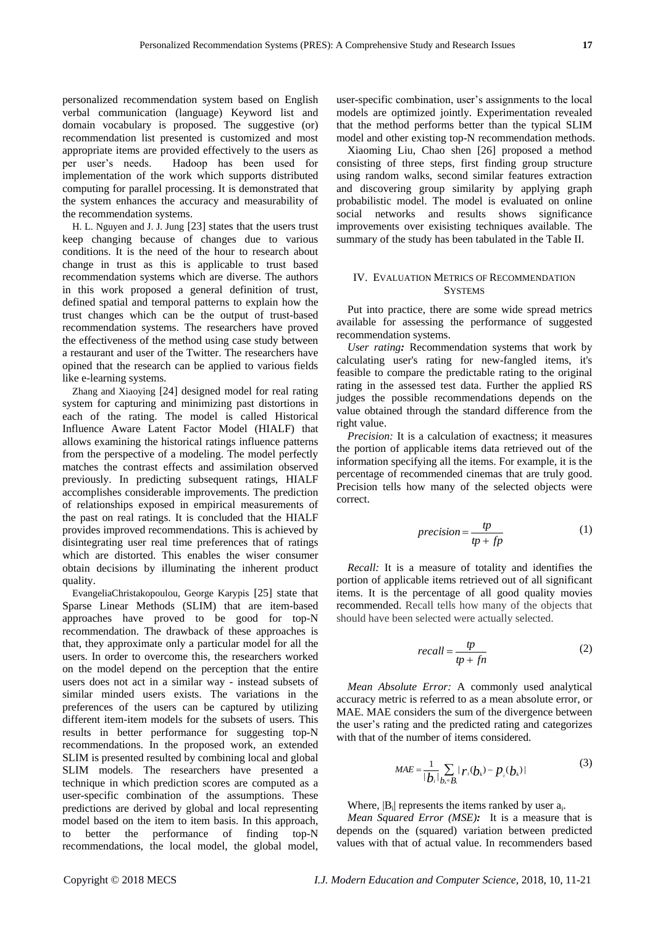personalized recommendation system based on English verbal communication (language) Keyword list and domain vocabulary is proposed. The suggestive (or) recommendation list presented is customized and most appropriate items are provided effectively to the users as per user's needs. Hadoop has been used for implementation of the work which supports distributed computing for parallel processing. It is demonstrated that the system enhances the accuracy and measurability of the recommendation systems.

H. L. Nguyen and J. J. Jung [23] states that the users trust keep changing because of changes due to various conditions. It is the need of the hour to research about change in trust as this is applicable to trust based recommendation systems which are diverse. The authors in this work proposed a general definition of trust, defined spatial and temporal patterns to explain how the trust changes which can be the output of trust-based recommendation systems. The researchers have proved the effectiveness of the method using case study between a restaurant and user of the Twitter. The researchers have opined that the research can be applied to various fields like e-learning systems.

Zhang and Xiaoying [24] designed model for real rating system for capturing and minimizing past distortions in each of the rating. The model is called Historical Influence Aware Latent Factor Model (HIALF) that allows examining the historical ratings influence patterns from the perspective of a modeling. The model perfectly matches the contrast effects and assimilation observed previously. In predicting subsequent ratings, HIALF accomplishes considerable improvements. The prediction of relationships exposed in empirical measurements of the past on real ratings. It is concluded that the HIALF provides improved recommendations. This is achieved by disintegrating user real time preferences that of ratings which are distorted. This enables the wiser consumer obtain decisions by illuminating the inherent product quality.

EvangeliaChristakopoulou, George Karypis [25] state that Sparse Linear Methods (SLIM) that are item-based approaches have proved to be good for top-N recommendation. The drawback of these approaches is that, they approximate only a particular model for all the users. In order to overcome this, the researchers worked on the model depend on the perception that the entire users does not act in a similar way - instead subsets of similar minded users exists. The variations in the preferences of the users can be captured by utilizing different item-item models for the subsets of users. This results in better performance for suggesting top-N recommendations. In the proposed work, an extended SLIM is presented resulted by combining local and global SLIM models. The researchers have presented a technique in which prediction scores are computed as a user-specific combination of the assumptions. These predictions are derived by global and local representing model based on the item to item basis. In this approach, to better the performance of finding top-N recommendations, the local model, the global model,

user-specific combination, user's assignments to the local models are optimized jointly. Experimentation revealed that the method performs better than the typical SLIM model and other existing top-N recommendation methods.

Xiaoming Liu, Chao shen [26] proposed a method consisting of three steps, first finding group structure using random walks, second similar features extraction and discovering group similarity by applying graph probabilistic model. The model is evaluated on online social networks and results shows significance improvements over exisisting techniques available. The summary of the study has been tabulated in the Table II.

## IV. EVALUATION METRICS OF RECOMMENDATION **SYSTEMS**

Put into practice, there are some wide spread metrics available for assessing the performance of suggested recommendation systems.

*User rating:* Recommendation systems that work by calculating user's rating for new-fangled items, it's feasible to compare the predictable rating to the original rating in the assessed test data. Further the applied RS judges the possible recommendations depends on the value obtained through the standard difference from the right value.

*Precision:* It is a calculation of exactness; it measures the portion of applicable items data retrieved out of the information specifying all the items. For example, it is the percentage of recommended cinemas that are truly good. Precision tells how many of the selected objects were correct.

$$
precision = \frac{tp}{tp + fp} \tag{1}
$$

*Recall:* It is a measure of totality and identifies the portion of applicable items retrieved out of all significant items. It is the percentage of all good quality movies recommended. Recall tells how many of the objects that should have been selected were actually selected.

$$
recall = \frac{tp}{tp + fn} \tag{2}
$$

*Mean Absolute Error:* A commonly used analytical accuracy metric is referred to as a mean absolute error, or MAE. MAE considers the sum of the divergence between the user's rating and the predicted rating and categorizes with that of the number of items considered.

$$
MAE = \frac{1}{|b_i|} \sum_{b_k \in B_i} |r_i(b_k) - p_i(b_k)|
$$
 (3)

Where,  $|B_i|$  represents the items ranked by user  $a_i$ .

*Mean Squared Error (MSE):* It is a measure that is depends on the (squared) variation between predicted values with that of actual value. In recommenders based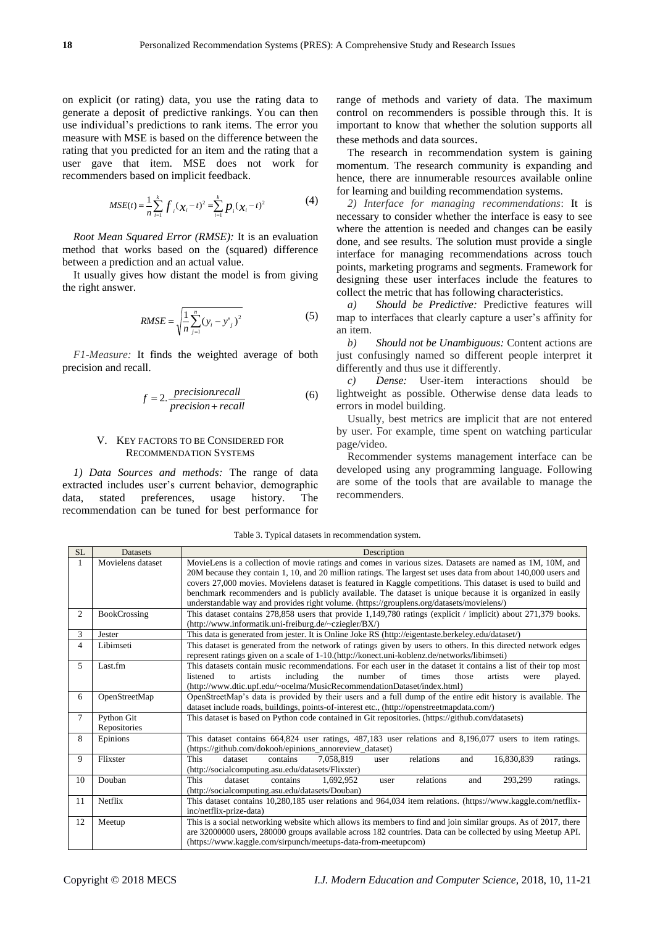on explicit (or rating) data, you use the rating data to generate a deposit of predictive rankings. You can then use individual's predictions to rank items. The error you measure with MSE is based on the difference between the rating that you predicted for an item and the rating that a user gave that item. MSE does not work for recommenders based on implicit feedback.

$$
MSE(t) = \frac{1}{n} \sum_{i=1}^{k} f_{i} (\chi_{i} - t)^{2} = \sum_{i=1}^{k} p_{i} (\chi_{i} - t)^{2}
$$
(4)

*Root Mean Squared Error (RMSE):* It is an evaluation method that works based on the (squared) difference between a prediction and an actual value.

It usually gives how distant the model is from giving the right answer.

$$
RMSE = \sqrt{\frac{1}{n} \sum_{j=1}^{n} (y_i - y'_j)^2}
$$
 (5)

*F1-Measure:* It finds the weighted average of both precision and recall.

$$
f = 2. \frac{precision \, recall}{precision + recall} \tag{6}
$$

#### V. KEY FACTORS TO BE CONSIDERED FOR RECOMMENDATION SYSTEMS

*1) Data Sources and methods:* The range of data extracted includes user's current behavior, demographic data, stated preferences, usage history. The recommendation can be tuned for best performance for range of methods and variety of data. The maximum control on recommenders is possible through this. It is important to know that whether the solution supports all these methods and data sources.

The research in recommendation system is gaining momentum. The research community is expanding and hence, there are innumerable resources available online for learning and building recommendation systems.

*2) Interface for managing recommendations*: It is necessary to consider whether the interface is easy to see where the attention is needed and changes can be easily done, and see results. The solution must provide a single interface for managing recommendations across touch points, marketing programs and segments. Framework for designing these user interfaces include the features to collect the metric that has following characteristics.

*a) Should be Predictive:* Predictive features will map to interfaces that clearly capture a user's affinity for an item.

*b) Should not be Unambiguous:* Content actions are just confusingly named so different people interpret it differently and thus use it differently.

*c) Dense:* User-item interactions should be lightweight as possible. Otherwise dense data leads to errors in model building.

Usually, best metrics are implicit that are not entered by user. For example, time spent on watching particular page/video.

Recommender systems management interface can be developed using any programming language. Following are some of the tools that are available to manage the recommenders.

SL Datasets Description 1 Movielens dataset MovieLens is a collection of movie ratings and comes in various sizes. Datasets are named as 1M, 10M, and 20M because they contain 1, 10, and 20 million ratings. The largest set uses data from about 140,000 users and covers 27,000 movies. Movielens dataset is featured in Kaggle competitions. This dataset is used to build and benchmark recommenders and is publicly available. The dataset is unique because it is organized in easily understandable way and provides right volume. (https://grouplens.org/datasets/movielens/) 2 BookCrossing This dataset contains 278,858 users that provide 1,149,780 ratings (explicit / implicit) about 271,379 books. [\(http://www.informatik.uni-freiburg.de/~cziegler/BX/\)](http://www.informatik.uni-freiburg.de/~cziegler/BX/) 3 Jester This data is generated from jester. It is Online Joke RS (http://eigentaste.berkeley.edu/dataset/) 4 Libimseti This dataset is generated from the network of ratings given by users to others. In this directed network edges represent ratings given on a scale of 1-10.(http://konect.uni-koblenz.de/networks/libimseti) 5 Last.fm This datasets contain music recommendations. For each user in the dataset it contains a list of their top most listened to artists including the number of times those artists were played. [\(http://www.dtic.upf.edu/~ocelma/MusicRecommendationDataset/index.html\)](http://www.dtic.upf.edu/~ocelma/MusicRecommendationDataset/index.html) 6 OpenStreetMap OpenStreetMap's data is provided by their users and a full dump of the entire edit history is available. The dataset include roads, buildings, points-of-interest etc., (http://openstreetmapdata.com/) 7 Python Git Repositories This dataset is based on Python code contained in Git repositories. (https://github.com/datasets) 8 Epinions This dataset contains 664,824 user ratings, 487,183 user relations and 8,196,077 users to item ratings. (https://github.com/dokooh/epinions\_annoreview\_dataset) 9 Flixster This dataset contains 7,058,819 user relations and 16,830,839 ratings. (http://socialcomputing.asu.edu/datasets/Flixster) 10 Douban This dataset contains 1,692,952 user relations and 293,299 ratings. (http://socialcomputing.asu.edu/datasets/Douban) 11 Netflix This dataset contains 10,280,185 user relations and 964,034 item relations. (https://www.kaggle.com/netflixinc/netflix-prize-data) 12 Meetup This is a social networking website which allows its members to find and join similar groups. As of 2017, there are 32000000 users, 280000 groups available across 182 countries. Data can be collected by using Meetup API. (https://www.kaggle.com/sirpunch/meetups-data-from-meetupcom)

Table 3. Typical datasets in recommendation system.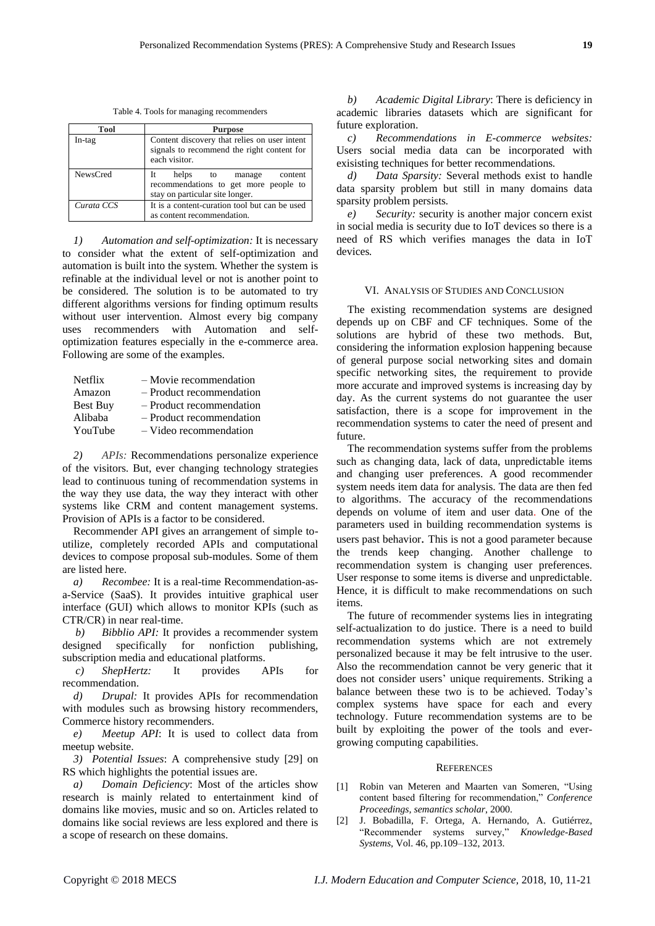Table 4. Tools for managing recommenders

| <b>Tool</b>     | <b>Purpose</b>                                                                                               |
|-----------------|--------------------------------------------------------------------------------------------------------------|
| In-tag          | Content discovery that relies on user intent<br>signals to recommend the right content for<br>each visitor.  |
| <b>NewsCred</b> | helps to manage<br>It<br>content<br>recommendations to get more people to<br>stay on particular site longer. |
| Curata CCS      | It is a content-curation tool but can be used<br>as content recommendation.                                  |

*1) Automation and self-optimization:* It is necessary to consider what the extent of self-optimization and automation is built into the system. Whether the system is refinable at the individual level or not is another point to be considered. The solution is to be automated to try different algorithms versions for finding optimum results without user intervention. Almost every big company uses recommenders with Automation and selfoptimization features especially in the e-commerce area. Following are some of the examples.

| <b>Netflix</b>  | $-$ Movie recommendation |
|-----------------|--------------------------|
| Amazon          | - Product recommendation |
| <b>Best Buy</b> | - Product recommendation |
| Alibaba         | - Product recommendation |
| YouTube         | $-$ Video recommendation |

*2) APIs:* Recommendations personalize experience of the visitors. But, ever changing technology strategies lead to continuous tuning of recommendation systems in the way they use data, the way they interact with other systems like CRM and content management systems. Provision of APIs is a factor to be considered.

Recommender API gives an arrangement of simple toutilize, completely recorded APIs and computational devices to compose proposal sub-modules. Some of them are listed here.

*a) Recombee:* It is a real-time Recommendation-asa-Service (SaaS). It provides intuitive graphical user interface (GUI) which allows to monitor KPIs (such as CTR/CR) in near real-time.

*b) [Bibblio API:](http://bibblio.org/)* It provides a recommender system designed specifically for nonfiction publishing, subscription media and educational platforms.

*c) [ShepHertz:](http://api.shephertz.com/)* It provides APIs for recommendation.

*d) Drupal:* It provides APIs for recommendation with modules such as browsing history recommenders, Commerce history recommenders.

*e) Meetup API*: It is used to collect data from meetup website.

*3) Potential Issues*: A comprehensive study [29] on RS which highlights the potential issues are.

*a) Domain Deficiency*: Most of the articles show research is mainly related to entertainment kind of domains like movies, music and so on. Articles related to domains like social reviews are less explored and there is a scope of research on these domains.

*b) Academic Digital Library*: There is deficiency in academic libraries datasets which are significant for future exploration.

*c) Recommendations in E-commerce websites:*  Users social media data can be incorporated with exisisting techniques for better recommendations*.*

*d) Data Sparsity:* Several methods exist to handle data sparsity problem but still in many domains data sparsity problem persists*.*

*e) Security:* security is another major concern exist in social media is security due to IoT devices so there is a need of RS which verifies manages the data in IoT devices*.*

#### VI. ANALYSIS OF STUDIES AND CONCLUSION

The existing recommendation systems are designed depends up on CBF and CF techniques. Some of the solutions are hybrid of these two methods. But, considering the information explosion happening because of general purpose social networking sites and domain specific networking sites, the requirement to provide more accurate and improved systems is increasing day by day. As the current systems do not guarantee the user satisfaction, there is a scope for improvement in the recommendation systems to cater the need of present and future.

The recommendation systems suffer from the problems such as changing data, lack of data, unpredictable items and changing user preferences. A good recommender system needs item data for analysis. The data are then fed to algorithms. The accuracy of the recommendations depends on volume of item and user data. One of the parameters used in building recommendation systems is users past behavior. This is not a good parameter because the trends keep changing. Another challenge to recommendation system is changing user preferences. User response to some items is diverse and unpredictable. Hence, it is difficult to make recommendations on such items.

The future of recommender systems lies in integrating self-actualization to do justice. There is a need to build recommendation systems which are not extremely personalized because it may be felt intrusive to the user. Also the recommendation cannot be very generic that it does not consider users' unique requirements. Striking a balance between these two is to be achieved. Today's complex systems have space for each and every technology. Future recommendation systems are to be built by exploiting the power of the tools and evergrowing computing capabilities.

#### **REFERENCES**

- [1] Robin van Meteren and Maarten van Someren, "Using content based filtering for recommendation," *Conference Proceedings, semantics scholar*, 2000.
- [2] J. Bobadilla, F. Ortega, A. Hernando, A. Gutiérrez, "Recommender systems survey," *Knowledge-Based Systems*, Vol. 46, pp.109–132, 2013.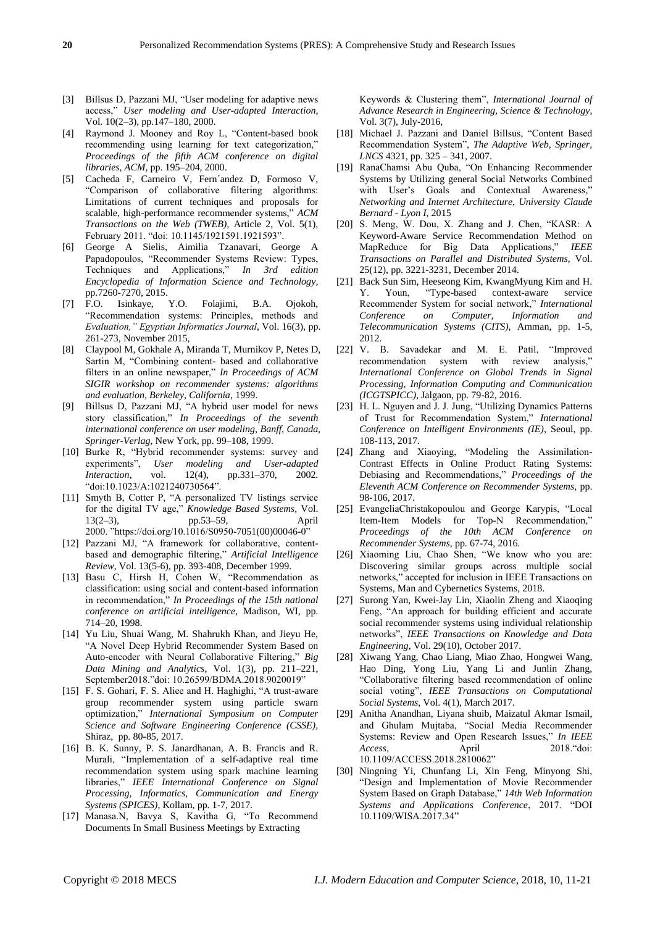- [3] Billsus D, Pazzani MJ, "User modeling for adaptive news access," *User modeling and User-adapted Interaction*, Vol. 10(2–3), pp.147–180, 2000.
- [4] Raymond J. Mooney and Roy L, "Content-based book recommending using learning for text categorization," *Proceedings of the fifth ACM conference on digital libraries, ACM*, pp. 195–204, 2000.
- [5] Cacheda F, Carneiro V, Fern´andez D, Formoso V, "Comparison of collaborative filtering algorithms: Limitations of current techniques and proposals for scalable, high-performance recommender systems," *ACM Transactions on the Web (TWEB),* Article 2, Vol. 5(1), February 2011. "doi: 10.1145/1921591.1921593".
- [6] George A Sielis, Aimilia Tzanavari, George A Papadopoulos, "Recommender Systems Review: Types, Techniques and Applications," *In 3rd edition Encyclopedia of Information Science and Technology*, pp.7260-7270, 2015.
- [7] F.O. Isinkaye, Y.O. Folajimi, B.A. Ojokoh, "Recommendation systems: Principles, methods and *Evaluation," Egyptian Informatics Journal*, Vol. 16(3), pp. 261-273, November 2015,
- [8] Claypool M, Gokhale A, Miranda T, Murnikov P, Netes D, Sartin M, "Combining content- based and collaborative filters in an online newspaper," *In Proceedings of ACM SIGIR workshop on recommender systems: algorithms and evaluation, Berkeley, California*, 1999.
- [9] Billsus D, Pazzani MJ, "A hybrid user model for news story classification," *In Proceedings of the seventh international conference on user modeling, Banff, Canada, Springer-Verlag*, New York, pp. 99–108, 1999.
- [10] Burke R, "Hybrid recommender systems: survey and experiments", *User modeling and User-adapted Interaction*, vol. 12(4), pp.331–370, 2002. "doi:10.1023/A:1021240730564".
- [11] Smyth B, Cotter P, "A personalized TV listings service for the digital TV age," *Knowledge Based Systems*, Vol. 13(2–3), pp.53–59, April 2000. "https://doi.org/10.1016/S0950-7051(00)00046-0"
- [12] Pazzani MJ, "A framework for collaborative, contentbased and demographic filtering," *Artificial Intelligence Review*, Vol. 13(5-6), pp. 393-408, December 1999.
- [13] Basu C, Hirsh H, Cohen W, "Recommendation as classification: using social and content-based information in recommendation," *In Proceedings of the 15th national conference on artificial intelligence*, Madison, WI, pp. 714–20, 1998.
- [14] Yu Liu, Shuai Wang, M. Shahrukh Khan, and Jieyu He, "A Novel Deep Hybrid Recommender System Based on Auto-encoder with Neural Collaborative Filtering," *Big Data Mining and Analytics*, Vol. 1(3), pp. 211–221, September2018."doi: 10.26599/BDMA.2018.9020019"
- [15] F. S. Gohari, F. S. Aliee and H. Haghighi, "A trust-aware group recommender system using particle swarn optimization," *International Symposium on Computer Science and Software Engineering Conference (CSSE)*, Shiraz, pp. 80-85, 2017.
- [16] B. K. Sunny, P. S. Janardhanan, A. B. Francis and R. Murali, "Implementation of a self-adaptive real time recommendation system using spark machine learning libraries," *IEEE International Conference on Signal Processing, Informatics, Communication and Energy Systems (SPICES)*, Kollam, pp. 1-7, 2017.
- [17] Manasa.N, Bavya S, Kavitha G, "To Recommend Documents In Small Business Meetings by Extracting

Keywords & Clustering them", *International Journal of Advance Research in Engineering, Science & Technology*, Vol. 3(7), July-2016,

- [18] Michael J. Pazzani and Daniel Billsus, "Content Based Recommendation System", *The Adaptive Web, Springer, LNCS* 4321, pp. 325 – 341, 2007.
- [19] RanaChamsi Abu Quba, "On Enhancing Recommender Systems by Utilizing general Social Networks Combined with User's Goals and Contextual Awareness," *Networking and Internet Architecture, University Claude Bernard - Lyon I*, 2015
- [20] S. Meng, W. Dou, X. Zhang and J. Chen, "KASR: A Keyword-Aware Service Recommendation Method on MapReduce for Big Data Applications," *IEEE Transactions on Parallel and Distributed Systems,* Vol. 25(12), pp. 3221-3231, December 2014.
- [21] Back Sun Sim, Heeseong Kim, KwangMyung Kim and H. Y. Youn, "Type-based context-aware service Recommender System for social network," *International Conference on Computer, Information and Telecommunication Systems (CITS)*, Amman, pp. 1-5, 2012.
- [22] V. B. Savadekar and M. E. Patil, "Improved recommendation system with review analysis," *International Conference on Global Trends in Signal Processing, Information Computing and Communication (ICGTSPICC)*, Jalgaon, pp. 79-82, 2016.
- [23] H. L. Nguyen and J. J. Jung, "Utilizing Dynamics Patterns of Trust for Recommendation System," *International Conference on Intelligent Environments (IE)*, Seoul, pp. 108-113, 2017.
- [24] Zhang and Xiaoying, "Modeling the Assimilation-Contrast Effects in Online Product Rating Systems: Debiasing and Recommendations," *Proceedings of the Eleventh ACM Conference on Recommender Systems*, pp. 98-106, 2017.
- [25] EvangeliaChristakopoulou and George Karypis, "Local Item-Item Models for Top-N Recommendation," *Proceedings of the 10th ACM Conference on Recommender Systems*, pp. 67-74, 2016.
- [26] Xiaoming Liu, Chao Shen, "We know who you are: Discovering similar groups across multiple social networks," accepted for inclusion in IEEE Transactions on Systems, Man and Cybernetics Systems, 2018.
- [27] Surong Yan, Kwei-Jay Lin, Xiaolin Zheng and Xiaoqing Feng, "An approach for building efficient and accurate social recommender systems using individual relationship networks", *IEEE Transactions on Knowledge and Data Engineering*, Vol. 29(10), October 2017.
- [28] Xiwang Yang, Chao Liang, Miao Zhao, Hongwei Wang, Hao Ding, Yong Liu, Yang Li and Junlin Zhang, "Collaborative filtering based recommendation of online social voting", *IEEE Transactions on Computational Social Systems*, Vol. 4(1), March 2017.
- [29] Anitha Anandhan, Liyana shuib, Maizatul Akmar Ismail, and Ghulam Mujtaba, "Social Media Recommender Systems: Review and Open Research Issues," *In IEEE Access*, April 2018."doi: 10.1109/ACCESS.2018.2810062"
- [30] Ningning Yi, Chunfang Li, Xin Feng, Minyong Shi, "Design and Implementation of Movie Recommender System Based on Graph Database," *14th Web Information Systems and Applications Conference*, 2017. "DOI 10.1109/WISA.2017.34"